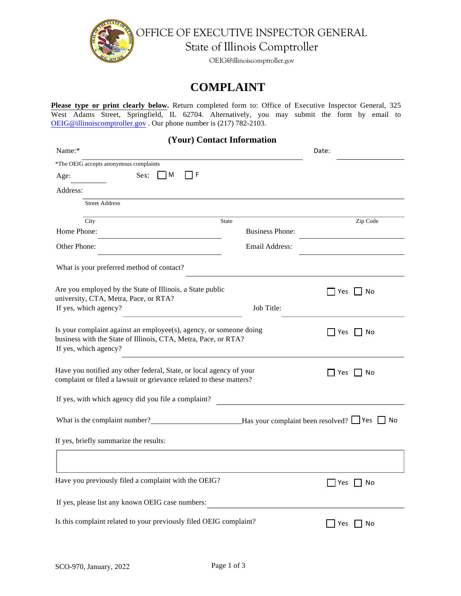

OFFICE OF EXECUTIVE INSPECTOR GENERAL

State of Illinois Comptroller

OEIG@illinoiscomptroller.gov

## **COMPLAINT**

**Please type or print clearly below.** Return completed form to: Office of Executive Inspector General, 325 West Adams Street, Springfield, IL 62704. Alternatively, you may submit the form by email to OEIG@illinoiscomptroller.gov . Our phone number is (217) 782-2103.

 **(Your) Contact Information** 

| Name:*                                                                                                                                                        | Date:                  |                      |  |  |
|---------------------------------------------------------------------------------------------------------------------------------------------------------------|------------------------|----------------------|--|--|
| *The OEIG accepts anonymous complaints                                                                                                                        |                        |                      |  |  |
| ΠF<br>  M<br>Sex:<br>Age:                                                                                                                                     |                        |                      |  |  |
| Address:                                                                                                                                                      |                        |                      |  |  |
| <b>Street Address</b>                                                                                                                                         |                        |                      |  |  |
| City<br><b>State</b>                                                                                                                                          |                        | Zip Code             |  |  |
| Home Phone:                                                                                                                                                   | <b>Business Phone:</b> |                      |  |  |
| Other Phone:                                                                                                                                                  | Email Address:         |                      |  |  |
| What is your preferred method of contact?                                                                                                                     |                        |                      |  |  |
| Are you employed by the State of Illinois, a State public<br>university, CTA, Metra, Pace, or RTA?                                                            |                        | $\Box$ Yes $\Box$ No |  |  |
| If yes, which agency?                                                                                                                                         | Job Title:             |                      |  |  |
| Is your complaint against an employee(s), agency, or someone doing<br>business with the State of Illinois, CTA, Metra, Pace, or RTA?<br>If yes, which agency? |                        | No<br>    Yes        |  |  |
| Have you notified any other federal, State, or local agency of your<br>complaint or filed a lawsuit or grievance related to these matters?                    |                        | $\Box$ Yes $\Box$ No |  |  |
| If yes, with which agency did you file a complaint?                                                                                                           |                        |                      |  |  |
| What is the complaint number?<br>Has your complaint been resolved? Tes T No                                                                                   |                        |                      |  |  |
| If yes, briefly summarize the results:                                                                                                                        |                        |                      |  |  |
|                                                                                                                                                               |                        |                      |  |  |
| Have you previously filed a complaint with the OEIG?                                                                                                          |                        | $\Box$ Yes $\Box$ No |  |  |
| If yes, please list any known OEIG case numbers:                                                                                                              |                        |                      |  |  |
| Is this complaint related to your previously filed OEIG complaint?                                                                                            |                        | Yes<br>No            |  |  |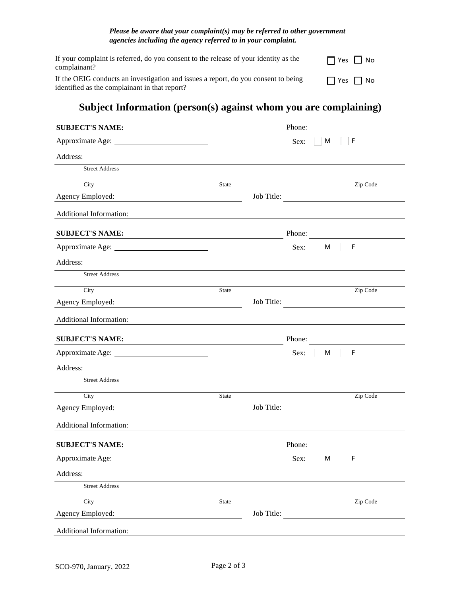## *Please be aware that your complaint(s) may be referred to other government agencies including the agency referred to in your complaint.*

| If your complaint is referred, do you consent to the release of your identity as the<br>complainant?                                | $\Box$ Yes $\Box$ No |
|-------------------------------------------------------------------------------------------------------------------------------------|----------------------|
| If the OEIG conducts an investigation and issues a report, do you consent to being<br>identified as the complainant in that report? | $\Box$ Yes $\Box$ No |

## **Subject Information (person(s) against whom you are complaining)**

| <b>SUBJECT'S NAME:</b>         |                                                                                                                      |            | Phone: |          |                                                 |
|--------------------------------|----------------------------------------------------------------------------------------------------------------------|------------|--------|----------|-------------------------------------------------|
|                                |                                                                                                                      |            | Sex:   | $\mid M$ | $\vert \vert$ F                                 |
| Address:                       |                                                                                                                      |            |        |          |                                                 |
| <b>Street Address</b>          |                                                                                                                      |            |        |          |                                                 |
| City                           | <b>State</b>                                                                                                         |            |        |          | Zip Code                                        |
| Agency Employed:               |                                                                                                                      | Job Title: |        |          |                                                 |
| <b>Additional Information:</b> |                                                                                                                      |            |        |          |                                                 |
| <b>SUBJECT'S NAME:</b>         |                                                                                                                      |            | Phone: |          |                                                 |
|                                |                                                                                                                      |            | Sex:   |          | M F                                             |
| Address:                       |                                                                                                                      |            |        |          |                                                 |
| <b>Street Address</b>          |                                                                                                                      |            |        |          |                                                 |
| City                           | State                                                                                                                |            |        |          | Zip Code                                        |
| Agency Employed:               | <u> 1980 - Johann Barn, mars ann an t-Amhain Aonaich an t-Aonaich an t-Aonaich ann an t-Aonaich ann an t-Aonaich</u> | Job Title: |        |          | <u> 1989 - Andrea Station Barbara (b. 1989)</u> |
| Additional Information:        |                                                                                                                      |            |        |          |                                                 |
| <b>SUBJECT'S NAME:</b>         |                                                                                                                      |            |        |          | Phone:                                          |
|                                |                                                                                                                      |            | Sex:   | M        | F                                               |
| Address:                       |                                                                                                                      |            |        |          |                                                 |
| <b>Street Address</b>          |                                                                                                                      |            |        |          |                                                 |
| City                           | State                                                                                                                |            |        |          | Zip Code                                        |
| Agency Employed:               | <u> 1980 - Johann Barn, mars eta bainar eta idazlea (</u>                                                            | Job Title: |        |          |                                                 |
| Additional Information:        |                                                                                                                      |            |        |          |                                                 |
| <b>SUBJECT'S NAME:</b>         |                                                                                                                      |            | Phone: |          |                                                 |
| Approximate Age:               |                                                                                                                      |            | Sex:   | M        | $\mathsf F$                                     |
| Address:                       |                                                                                                                      |            |        |          |                                                 |
| <b>Street Address</b>          |                                                                                                                      |            |        |          |                                                 |
| City                           | State                                                                                                                |            |        |          | Zip Code                                        |
| Agency Employed:               | <u> 1989 - Johann Barn, fransk politik (d. 1989)</u>                                                                 |            |        |          | Job Title:                                      |
| Additional Information:        |                                                                                                                      |            |        |          |                                                 |